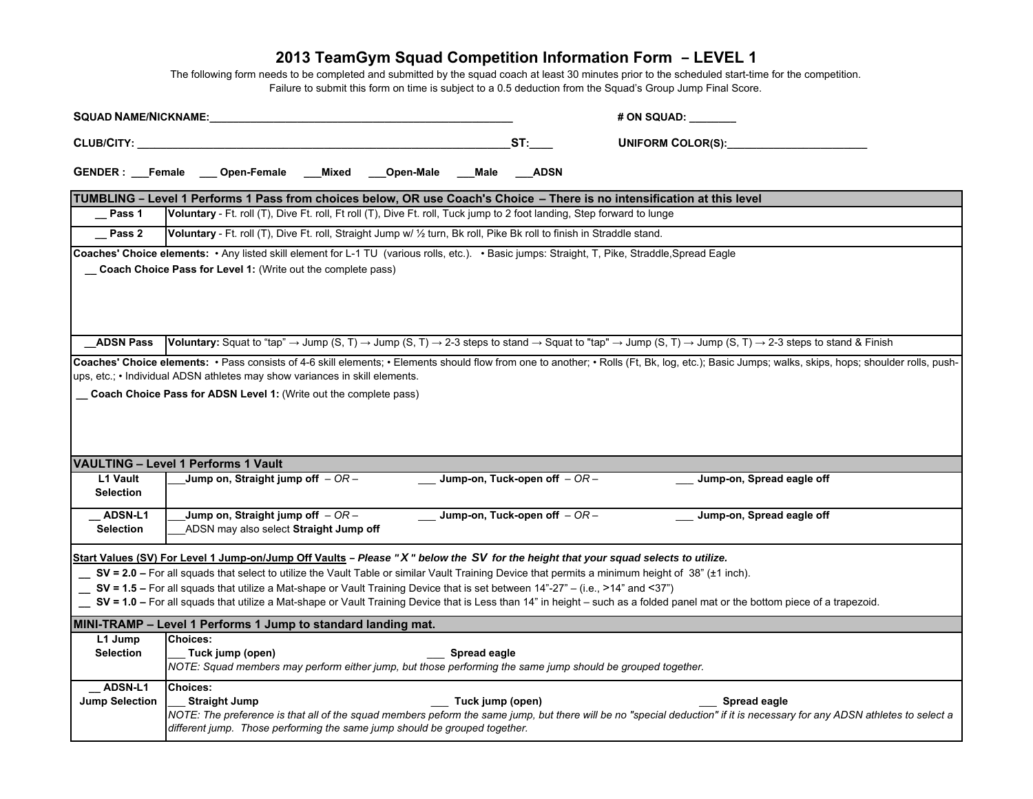| <b>SQUAD NAME/NICKNAME:</b>             |                                                                                                                                 |          |           |                  |                               | # ON SQUAD: ___                                                                                                                                                                                                                                                                                                                                                                                                                                                           |
|-----------------------------------------|---------------------------------------------------------------------------------------------------------------------------------|----------|-----------|------------------|-------------------------------|---------------------------------------------------------------------------------------------------------------------------------------------------------------------------------------------------------------------------------------------------------------------------------------------------------------------------------------------------------------------------------------------------------------------------------------------------------------------------|
| CLUB/CITY:                              |                                                                                                                                 |          |           |                  | ST:                           | <b>UNIFORM COLOR(S):</b>                                                                                                                                                                                                                                                                                                                                                                                                                                                  |
|                                         | GENDER: Female Open-Female                                                                                                      | ___Mixed | Open-Male | Male             | ADSN                          |                                                                                                                                                                                                                                                                                                                                                                                                                                                                           |
|                                         |                                                                                                                                 |          |           |                  |                               | TUMBLING - Level 1 Performs 1 Pass from choices below, OR use Coach's Choice - There is no intensification at this level                                                                                                                                                                                                                                                                                                                                                  |
| Pass 1                                  | Voluntary - Ft. roll (T), Dive Ft. roll, Ft roll (T), Dive Ft. roll, Tuck jump to 2 foot landing, Step forward to lunge         |          |           |                  |                               |                                                                                                                                                                                                                                                                                                                                                                                                                                                                           |
| Pass 2                                  | Voluntary - Ft. roll (T), Dive Ft. roll, Straight Jump w/ 1/2 turn, Bk roll, Pike Bk roll to finish in Straddle stand.          |          |           |                  |                               |                                                                                                                                                                                                                                                                                                                                                                                                                                                                           |
|                                         | Coach Choice Pass for Level 1: (Write out the complete pass)                                                                    |          |           |                  |                               | Coaches' Choice elements: • Any listed skill element for L-1 TU (various rolls, etc.). • Basic jumps: Straight, T, Pike, Straddle, Spread Eagle                                                                                                                                                                                                                                                                                                                           |
| <b>ADSN Pass</b>                        |                                                                                                                                 |          |           |                  |                               | <b>Voluntary:</b> Squat to "tap" $\rightarrow$ Jump (S, T) $\rightarrow$ Jump (S, T) $\rightarrow$ 2-3 steps to stand $\rightarrow$ Squat to "tap" $\rightarrow$ Jump (S, T) $\rightarrow$ Jump (S, T) $\rightarrow$ 2-3 steps to stand & Finish                                                                                                                                                                                                                          |
|                                         | Coach Choice Pass for ADSN Level 1: (Write out the complete pass)<br><b>VAULTING - Level 1 Performs 1 Vault</b>                 |          |           |                  |                               |                                                                                                                                                                                                                                                                                                                                                                                                                                                                           |
| L1 Vault<br><b>Selection</b>            | Jump on, Straight jump off $-OR -$                                                                                              |          |           |                  | Jump-on, Tuck-open off $-OR-$ | Jump-on, Spread eagle off                                                                                                                                                                                                                                                                                                                                                                                                                                                 |
| ADSN-L1<br><b>Selection</b>             | Jump on, Straight jump off $-OR-$<br>ADSN may also select Straight Jump off                                                     |          |           |                  | Jump-on, Tuck-open off $-OR-$ | Jump-on, Spread eagle off                                                                                                                                                                                                                                                                                                                                                                                                                                                 |
|                                         | SV = 1.5 - For all squads that utilize a Mat-shape or Vault Training Device that is set between 14"-27" - (i.e., >14" and <37") |          |           |                  |                               | Start Values (SV) For Level 1 Jump-on/Jump Off Vaults - Please "X" below the SV for the height that your squad selects to utilize.<br>SV = 2.0 - For all squads that select to utilize the Vault Table or similar Vault Training Device that permits a minimum height of 38" (±1 inch).<br>_ SV = 1.0 - For all squads that utilize a Mat-shape or Vault Training Device that is Less than 14" in height - such as a folded panel mat or the bottom piece of a trapezoid. |
|                                         | MINI-TRAMP - Level 1 Performs 1 Jump to standard landing mat.                                                                   |          |           |                  |                               |                                                                                                                                                                                                                                                                                                                                                                                                                                                                           |
| L1 Jump<br><b>Selection</b>             | <b>Choices:</b><br>Tuck jump (open)                                                                                             |          |           | Spread eagle     |                               | NOTE: Squad members may perform either jump, but those performing the same jump should be grouped together.                                                                                                                                                                                                                                                                                                                                                               |
| <b>ADSN-L1</b><br><b>Jump Selection</b> | <b>Choices:</b><br><b>Straight Jump</b><br>different jump. Those performing the same jump should be grouped together.           |          |           | Tuck jump (open) |                               | Spread eagle<br>NOTE: The preference is that all of the squad members peform the same jump, but there will be no "special deduction" if it is necessary for any ADSN athletes to select a                                                                                                                                                                                                                                                                                 |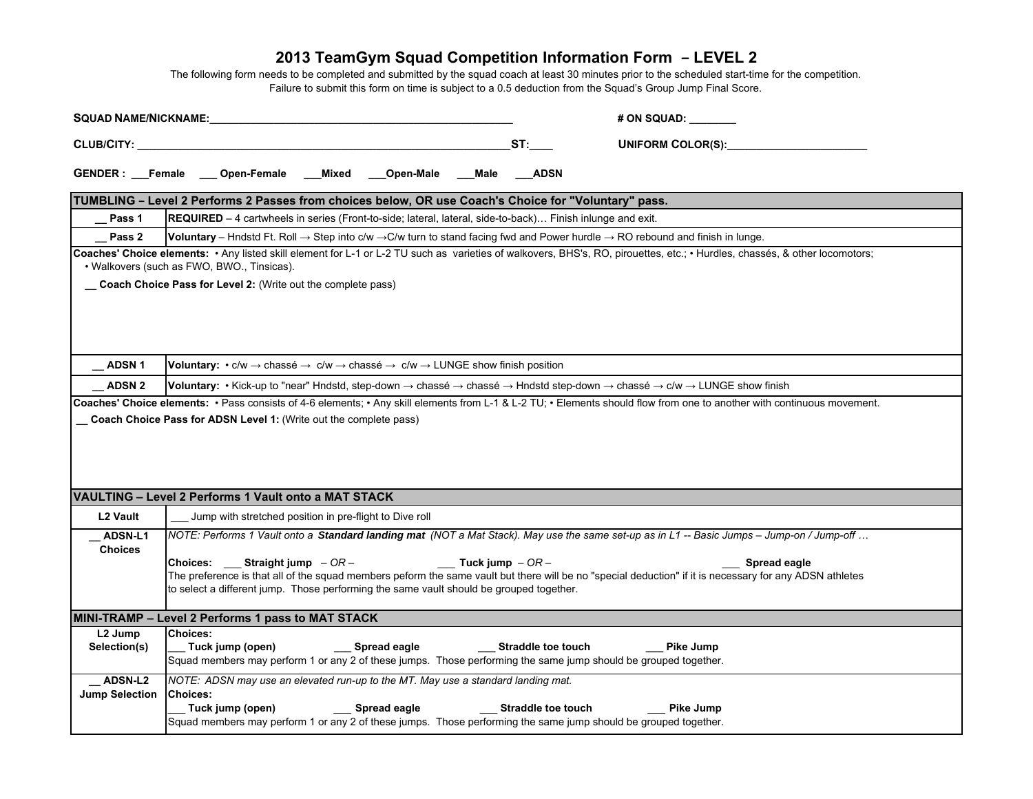| <b>SQUAD NAME/NICKNAME:</b> |                 |                                                                                                                                                                                                                                     |                |                                  |                           | # ON SQUAD:                                                                                                                                                                 |
|-----------------------------|-----------------|-------------------------------------------------------------------------------------------------------------------------------------------------------------------------------------------------------------------------------------|----------------|----------------------------------|---------------------------|-----------------------------------------------------------------------------------------------------------------------------------------------------------------------------|
|                             |                 | <b>CLUB/CITY:</b> The contract of the contract of the contract of the contract of the contract of the contract of the contract of the contract of the contract of the contract of the contract of the contract of the contract of t |                |                                  | ST:                       | <b>UNIFORM COLOR(S):</b>                                                                                                                                                    |
|                             |                 | GENDER: Female Open-Female Mixed                                                                                                                                                                                                    | Open-Male Male |                                  | <b>ADSN</b>               |                                                                                                                                                                             |
|                             |                 | TUMBLING - Level 2 Performs 2 Passes from choices below, OR use Coach's Choice for "Voluntary" pass.                                                                                                                                |                |                                  |                           |                                                                                                                                                                             |
| Pass 1                      |                 | REQUIRED - 4 cartwheels in series (Front-to-side; lateral, lateral, side-to-back) Finish inlunge and exit.                                                                                                                          |                |                                  |                           |                                                                                                                                                                             |
| Pass 2                      |                 |                                                                                                                                                                                                                                     |                |                                  |                           | <b>Voluntary</b> – Hndstd Ft. Roll $\rightarrow$ Step into c/w $\rightarrow$ C/w turn to stand facing fwd and Power hurdle $\rightarrow$ RO rebound and finish in lunge.    |
|                             |                 | · Walkovers (such as FWO, BWO., Tinsicas).                                                                                                                                                                                          |                |                                  |                           | Coaches' Choice elements: • Any listed skill element for L-1 or L-2 TU such as varieties of walkovers, BHS's, RO, pirouettes, etc.; • Hurdles, chassés, & other locomotors; |
|                             |                 | _ Coach Choice Pass for Level 2: (Write out the complete pass)                                                                                                                                                                      |                |                                  |                           |                                                                                                                                                                             |
|                             |                 |                                                                                                                                                                                                                                     |                |                                  |                           |                                                                                                                                                                             |
|                             |                 |                                                                                                                                                                                                                                     |                |                                  |                           |                                                                                                                                                                             |
|                             |                 |                                                                                                                                                                                                                                     |                |                                  |                           |                                                                                                                                                                             |
| <b>ADSN1</b>                |                 | <b>Voluntary:</b> $\cdot$ c/w $\rightarrow$ chassé $\rightarrow$ c/w $\rightarrow$ chassé $\rightarrow$ c/w $\rightarrow$ LUNGE show finish position                                                                                |                |                                  |                           |                                                                                                                                                                             |
| <b>ADSN 2</b>               |                 |                                                                                                                                                                                                                                     |                |                                  |                           | Voluntary: • Kick-up to "near" Hndstd, step-down → chassé → chassé → Hndstd step-down → chassé → c/w → LUNGE show finish                                                    |
|                             |                 |                                                                                                                                                                                                                                     |                |                                  |                           | Coaches' Choice elements: • Pass consists of 4-6 elements; • Any skill elements from L-1 & L-2 TU; • Elements should flow from one to another with continuous movement.     |
|                             |                 | Coach Choice Pass for ADSN Level 1: (Write out the complete pass)                                                                                                                                                                   |                |                                  |                           |                                                                                                                                                                             |
|                             |                 |                                                                                                                                                                                                                                     |                |                                  |                           |                                                                                                                                                                             |
|                             |                 |                                                                                                                                                                                                                                     |                |                                  |                           |                                                                                                                                                                             |
|                             |                 |                                                                                                                                                                                                                                     |                |                                  |                           |                                                                                                                                                                             |
|                             |                 |                                                                                                                                                                                                                                     |                |                                  |                           |                                                                                                                                                                             |
|                             |                 | VAULTING - Level 2 Performs 1 Vault onto a MAT STACK                                                                                                                                                                                |                |                                  |                           |                                                                                                                                                                             |
| L2 Vault                    |                 | Jump with stretched position in pre-flight to Dive roll                                                                                                                                                                             |                |                                  |                           |                                                                                                                                                                             |
| <b>ADSN-L1</b>              |                 |                                                                                                                                                                                                                                     |                |                                  |                           | NOTE: Performs 1 Vault onto a Standard landing mat (NOT a Mat Stack). May use the same set-up as in L1 -- Basic Jumps - Jump-on / Jump-off                                  |
| <b>Choices</b>              |                 | Choices: Straight jump $-OR-$                                                                                                                                                                                                       |                | $\frac{1}{2}$ Tuck jump $-$ OR - |                           | Spread eagle                                                                                                                                                                |
|                             |                 |                                                                                                                                                                                                                                     |                |                                  |                           | The preference is that all of the squad members peform the same vault but there will be no "special deduction" if it is necessary for any ADSN athletes                     |
|                             |                 | to select a different jump. Those performing the same vault should be grouped together.                                                                                                                                             |                |                                  |                           |                                                                                                                                                                             |
|                             |                 |                                                                                                                                                                                                                                     |                |                                  |                           |                                                                                                                                                                             |
|                             |                 | MINI-TRAMP - Level 2 Performs 1 pass to MAT STACK                                                                                                                                                                                   |                |                                  |                           |                                                                                                                                                                             |
| L <sub>2</sub> Jump         | <b>Choices:</b> |                                                                                                                                                                                                                                     |                |                                  |                           |                                                                                                                                                                             |
| Selection(s)                |                 | Tuck jump (open)                                                                                                                                                                                                                    | Spread eagle   |                                  | <b>Straddle toe touch</b> | <b>Pike Jump</b><br>Squad members may perform 1 or any 2 of these jumps. Those performing the same jump should be grouped together.                                         |
| <b>ADSN-L2</b>              |                 | NOTE: ADSN may use an elevated run-up to the MT. May use a standard landing mat.                                                                                                                                                    |                |                                  |                           |                                                                                                                                                                             |
| <b>Jump Selection</b>       | <b>Choices:</b> |                                                                                                                                                                                                                                     |                |                                  |                           |                                                                                                                                                                             |
|                             |                 | Tuck jump (open)                                                                                                                                                                                                                    | Spread eagle   |                                  | <b>Straddle toe touch</b> | <b>Pike Jump</b>                                                                                                                                                            |
|                             |                 |                                                                                                                                                                                                                                     |                |                                  |                           | Squad members may perform 1 or any 2 of these jumps. Those performing the same jump should be grouped together.                                                             |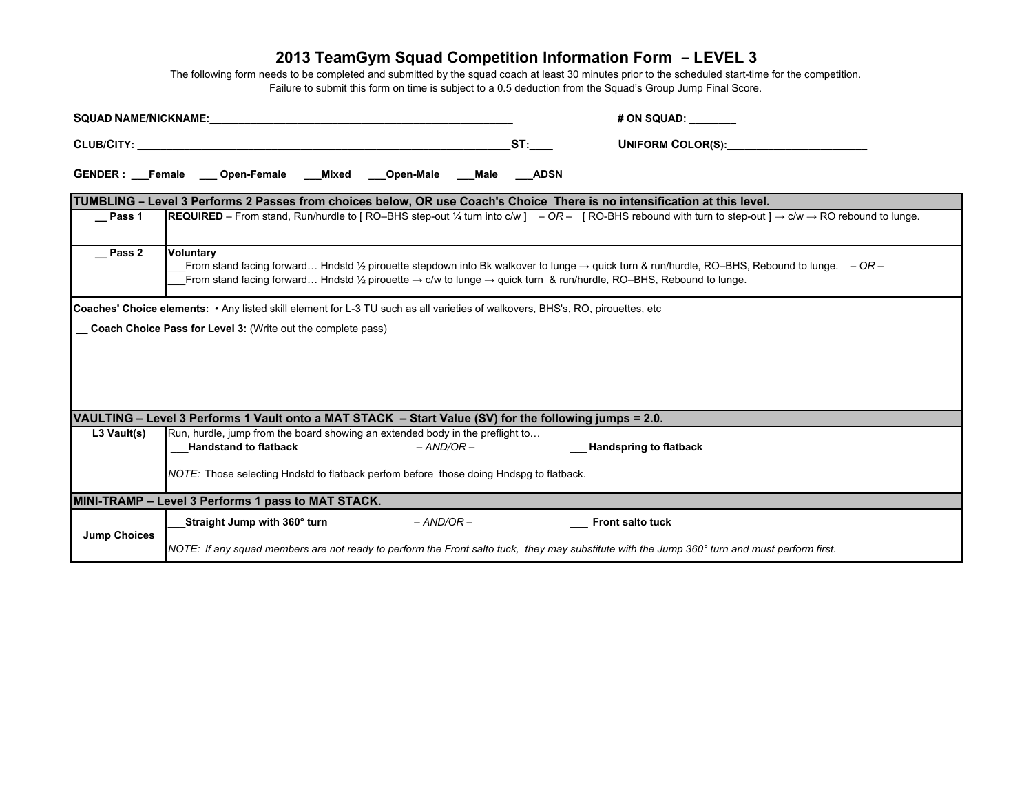|                                                                                                                           |                                                                                                                                                                                                                                                                                                                              |                 | # ON SQUAD:                   |  |  |  |  |  |  |
|---------------------------------------------------------------------------------------------------------------------------|------------------------------------------------------------------------------------------------------------------------------------------------------------------------------------------------------------------------------------------------------------------------------------------------------------------------------|-----------------|-------------------------------|--|--|--|--|--|--|
|                                                                                                                           |                                                                                                                                                                                                                                                                                                                              | $\mathsf{ST}$ : | UNIFORM COLOR(S):             |  |  |  |  |  |  |
|                                                                                                                           |                                                                                                                                                                                                                                                                                                                              |                 |                               |  |  |  |  |  |  |
| TUMBLING – Level 3 Performs 2 Passes from choices below, OR use Coach's Choice There is no intensification at this level. |                                                                                                                                                                                                                                                                                                                              |                 |                               |  |  |  |  |  |  |
| $\equiv$ Pass 1                                                                                                           | <b>REQUIRED</b> – From stand, Run/hurdle to [ RO–BHS step-out ¼ turn into c/w ] – OR – [ RO-BHS rebound with turn to step-out ] $\rightarrow$ c/w $\rightarrow$ RO rebound to lunge.                                                                                                                                         |                 |                               |  |  |  |  |  |  |
| <b>Pass 2</b>                                                                                                             | <b>Voluntary</b><br>From stand facing forward Hndstd 1/2 pirouette stepdown into Bk walkover to lunge $\rightarrow$ quick turn & run/hurdle, RO-BHS, Rebound to lunge. $-OR -$<br>From stand facing forward Hndstd 1/2 pirouette $\rightarrow$ c/w to lunge $\rightarrow$ quick turn & run/hurdle, RO-BHS, Rebound to lunge. |                 |                               |  |  |  |  |  |  |
|                                                                                                                           | Coaches' Choice elements: • Any listed skill element for L-3 TU such as all varieties of walkovers, BHS's, RO, pirouettes, etc<br>Coach Choice Pass for Level 3: (Write out the complete pass)                                                                                                                               |                 |                               |  |  |  |  |  |  |
|                                                                                                                           | VAULTING – Level 3 Performs 1 Vault onto a MAT STACK – Start Value (SV) for the following jumps = 2.0.                                                                                                                                                                                                                       |                 |                               |  |  |  |  |  |  |
| L3 Vault(s)                                                                                                               | Run, hurdle, jump from the board showing an extended body in the preflight to<br>$-$ AND/OR $-$<br><b>Handstand to flatback</b>                                                                                                                                                                                              |                 | <b>Handspring to flatback</b> |  |  |  |  |  |  |
|                                                                                                                           | NOTE: Those selecting Hndstd to flatback perfom before those doing Hndspg to flatback.                                                                                                                                                                                                                                       |                 |                               |  |  |  |  |  |  |
|                                                                                                                           | MINI-TRAMP - Level 3 Performs 1 pass to MAT STACK.                                                                                                                                                                                                                                                                           |                 |                               |  |  |  |  |  |  |
| <b>Jump Choices</b>                                                                                                       | $-$ AND/OR $-$<br>Straight Jump with 360° turn                                                                                                                                                                                                                                                                               |                 | <b>Front salto tuck</b>       |  |  |  |  |  |  |
|                                                                                                                           | NOTE: If any squad members are not ready to perform the Front salto tuck, they may substitute with the Jump 360° turn and must perform first.                                                                                                                                                                                |                 |                               |  |  |  |  |  |  |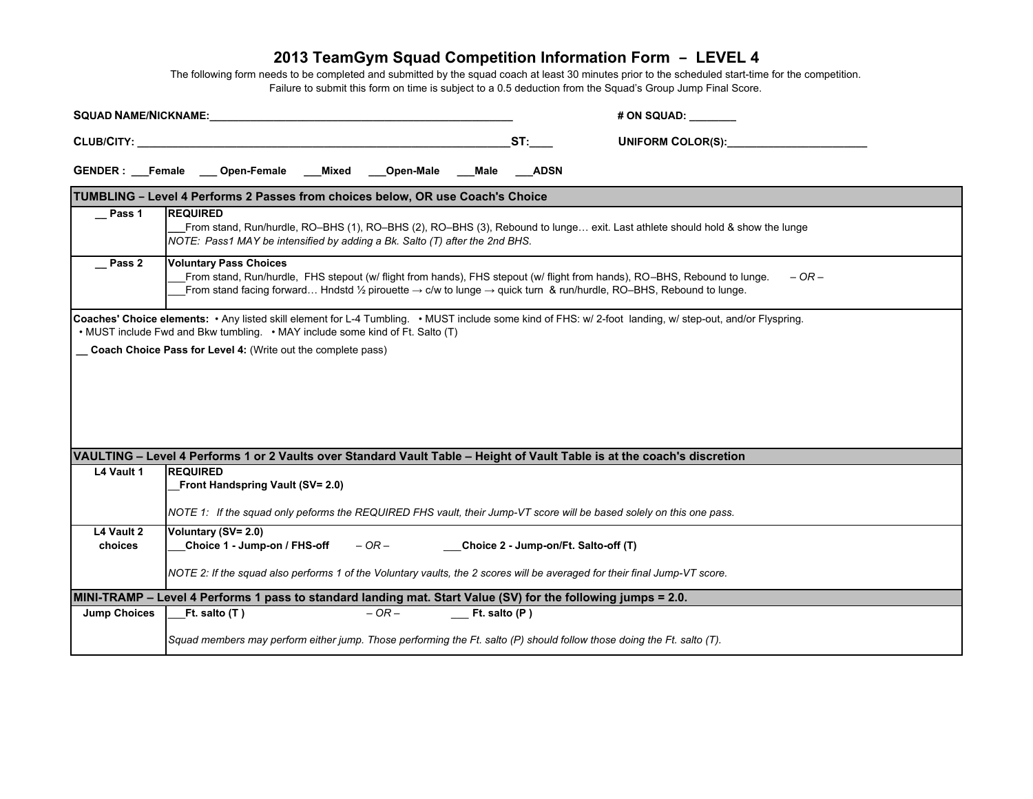|                       |                                                                                | SQUAD NAME/NICKNAME: William Communication of the Communication of the Communication of the Communication of the Communication of the Communication of the Communication of the Communication of the Communication of the Comm |       |            |                   |                                      | # ON SQUAD:                                                                                                                                                                                                                                                                         |  |  |  |  |
|-----------------------|--------------------------------------------------------------------------------|--------------------------------------------------------------------------------------------------------------------------------------------------------------------------------------------------------------------------------|-------|------------|-------------------|--------------------------------------|-------------------------------------------------------------------------------------------------------------------------------------------------------------------------------------------------------------------------------------------------------------------------------------|--|--|--|--|
| CLUB/CITY:            |                                                                                |                                                                                                                                                                                                                                |       |            |                   | ST:                                  | <b>UNIFORM COLOR(S):</b>                                                                                                                                                                                                                                                            |  |  |  |  |
|                       |                                                                                | GENDER: Female Open-Female                                                                                                                                                                                                     | Mixed | Open-Male  | Male              | <b>ADSN</b>                          |                                                                                                                                                                                                                                                                                     |  |  |  |  |
|                       | TUMBLING - Level 4 Performs 2 Passes from choices below, OR use Coach's Choice |                                                                                                                                                                                                                                |       |            |                   |                                      |                                                                                                                                                                                                                                                                                     |  |  |  |  |
| Pass 1                | <b>REQUIRED</b>                                                                | NOTE: Pass1 MAY be intensified by adding a Bk. Salto (T) after the 2nd BHS.                                                                                                                                                    |       |            |                   |                                      | From stand, Run/hurdle, RO-BHS (1), RO-BHS (2), RO-BHS (3), Rebound to lunge exit. Last athlete should hold & show the lunge                                                                                                                                                        |  |  |  |  |
| Pass 2                |                                                                                | <b>Voluntary Pass Choices</b>                                                                                                                                                                                                  |       |            |                   |                                      | From stand, Run/hurdle, FHS stepout (w/ flight from hands), FHS stepout (w/ flight from hands), RO-BHS, Rebound to lunge.<br>$- OR -$<br>From stand facing forward Hndstd 1/2 pirouette $\rightarrow$ c/w to lunge $\rightarrow$ quick turn & run/hurdle, RO-BHS, Rebound to lunge. |  |  |  |  |
|                       |                                                                                | • MUST include Fwd and Bkw tumbling. • MAY include some kind of Ft. Salto (T)<br>Coach Choice Pass for Level 4: (Write out the complete pass)                                                                                  |       |            |                   |                                      |                                                                                                                                                                                                                                                                                     |  |  |  |  |
|                       |                                                                                |                                                                                                                                                                                                                                |       |            |                   |                                      | VAULTING - Level 4 Performs 1 or 2 Vaults over Standard Vault Table - Height of Vault Table is at the coach's discretion                                                                                                                                                            |  |  |  |  |
| L4 Vault 1            | <b>REQUIRED</b>                                                                | Front Handspring Vault (SV= 2.0)                                                                                                                                                                                               |       |            |                   |                                      | NOTE 1: If the squad only peforms the REQUIRED FHS vault, their Jump-VT score will be based solely on this one pass.                                                                                                                                                                |  |  |  |  |
| L4 Vault 2<br>choices |                                                                                | Voluntary (SV= 2.0)<br>Choice 1 - Jump-on / FHS-off                                                                                                                                                                            |       | $-$ OR $-$ |                   | Choice 2 - Jump-on/Ft. Salto-off (T) |                                                                                                                                                                                                                                                                                     |  |  |  |  |
|                       |                                                                                |                                                                                                                                                                                                                                |       |            |                   |                                      | NOTE 2: If the squad also performs 1 of the Voluntary vaults, the 2 scores will be averaged for their final Jump-VT score.                                                                                                                                                          |  |  |  |  |
|                       |                                                                                |                                                                                                                                                                                                                                |       |            |                   |                                      | MINI-TRAMP - Level 4 Performs 1 pass to standard landing mat. Start Value (SV) for the following jumps = 2.0.                                                                                                                                                                       |  |  |  |  |
| <b>Jump Choices</b>   |                                                                                | Ft. salto $(T)$                                                                                                                                                                                                                |       | $-OR-$     | $Ft.$ salto $(P)$ |                                      |                                                                                                                                                                                                                                                                                     |  |  |  |  |
|                       |                                                                                |                                                                                                                                                                                                                                |       |            |                   |                                      | Squad members may perform either jump. Those performing the Ft. salto (P) should follow those doing the Ft. salto (T).                                                                                                                                                              |  |  |  |  |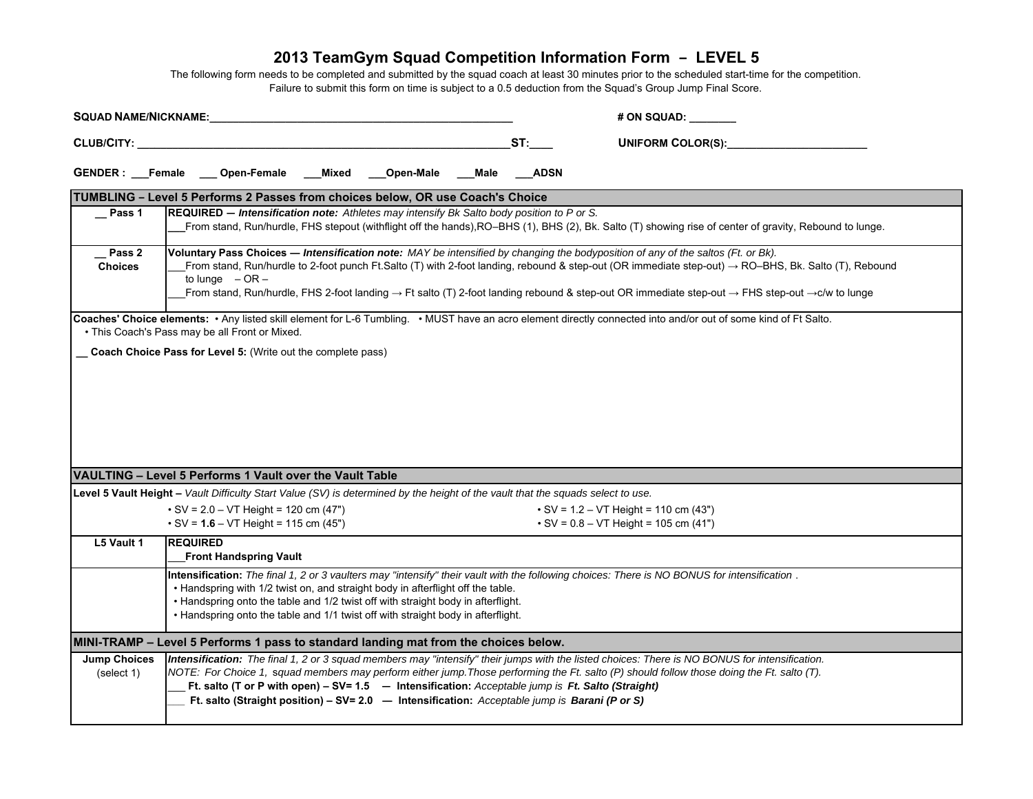| <b>SQUAD NAME/NICKNAME:</b>       |                                                                                                                                                                                                                                                                                                                                                                                                                                                                                                                 |       |           |      |             | # ON SQUAD: __                                                                                                                                                                                                                                                                               |  |  |
|-----------------------------------|-----------------------------------------------------------------------------------------------------------------------------------------------------------------------------------------------------------------------------------------------------------------------------------------------------------------------------------------------------------------------------------------------------------------------------------------------------------------------------------------------------------------|-------|-----------|------|-------------|----------------------------------------------------------------------------------------------------------------------------------------------------------------------------------------------------------------------------------------------------------------------------------------------|--|--|
| CLUB/CITY:                        |                                                                                                                                                                                                                                                                                                                                                                                                                                                                                                                 |       |           |      | ST:         | <b>UNIFORM COLOR(S):</b>                                                                                                                                                                                                                                                                     |  |  |
|                                   | GENDER: Female __ Open-Female                                                                                                                                                                                                                                                                                                                                                                                                                                                                                   | Mixed | Open-Male | Male | <b>ADSN</b> |                                                                                                                                                                                                                                                                                              |  |  |
|                                   | TUMBLING - Level 5 Performs 2 Passes from choices below, OR use Coach's Choice                                                                                                                                                                                                                                                                                                                                                                                                                                  |       |           |      |             |                                                                                                                                                                                                                                                                                              |  |  |
| $\equiv$ Pass 1                   | REQUIRED - Intensification note: Athletes may intensify Bk Salto body position to P or S.                                                                                                                                                                                                                                                                                                                                                                                                                       |       |           |      |             | From stand, Run/hurdle, FHS stepout (withflight off the hands), RO-BHS (1), BHS (2), Bk. Salto (T) showing rise of center of gravity, Rebound to lunge.                                                                                                                                      |  |  |
| Pass 2<br><b>Choices</b>          | Voluntary Pass Choices - Intensification note: MAY be intensified by changing the bodyposition of any of the saltos (Ft. or Bk).<br>From stand, Run/hurdle to 2-foot punch Ft.Salto (T) with 2-foot landing, rebound & step-out (OR immediate step-out) $\rightarrow$ RO-BHS, Bk. Salto (T), Rebound<br>to lunge $-OR -$<br>From stand, Run/hurdle, FHS 2-foot landing $\rightarrow$ Ft salto (T) 2-foot landing rebound & step-out OR immediate step-out $\rightarrow$ FHS step-out $\rightarrow$ C/w to lunge |       |           |      |             |                                                                                                                                                                                                                                                                                              |  |  |
|                                   | • This Coach's Pass may be all Front or Mixed.                                                                                                                                                                                                                                                                                                                                                                                                                                                                  |       |           |      |             | Coaches' Choice elements: . Any listed skill element for L-6 Tumbling. . MUST have an acro element directly connected into and/or out of some kind of Ft Salto.                                                                                                                              |  |  |
|                                   | Coach Choice Pass for Level 5: (Write out the complete pass)                                                                                                                                                                                                                                                                                                                                                                                                                                                    |       |           |      |             |                                                                                                                                                                                                                                                                                              |  |  |
|                                   | VAULTING - Level 5 Performs 1 Vault over the Vault Table                                                                                                                                                                                                                                                                                                                                                                                                                                                        |       |           |      |             |                                                                                                                                                                                                                                                                                              |  |  |
|                                   | Level 5 Vault Height - Vault Difficulty Start Value (SV) is determined by the height of the vault that the squads select to use.                                                                                                                                                                                                                                                                                                                                                                                |       |           |      |             |                                                                                                                                                                                                                                                                                              |  |  |
|                                   | $\cdot$ SV = 2.0 – VT Height = 120 cm (47")<br>$\cdot$ SV = 1.6 – VT Height = 115 cm (45")                                                                                                                                                                                                                                                                                                                                                                                                                      |       |           |      |             | $\cdot$ SV = 1.2 – VT Height = 110 cm (43")<br>$\cdot$ SV = 0.8 – VT Height = 105 cm (41")                                                                                                                                                                                                   |  |  |
| L5 Vault 1                        | <b>REQUIRED</b><br><b>Front Handspring Vault</b>                                                                                                                                                                                                                                                                                                                                                                                                                                                                |       |           |      |             |                                                                                                                                                                                                                                                                                              |  |  |
|                                   | Intensification: The final 1, 2 or 3 vaulters may "intensify" their vault with the following choices: There is NO BONUS for intensification.<br>. Handspring with 1/2 twist on, and straight body in afterflight off the table.<br>• Handspring onto the table and 1/2 twist off with straight body in afterflight.<br>. Handspring onto the table and 1/1 twist off with straight body in afterflight.                                                                                                         |       |           |      |             |                                                                                                                                                                                                                                                                                              |  |  |
|                                   | MINI-TRAMP - Level 5 Performs 1 pass to standard landing mat from the choices below.                                                                                                                                                                                                                                                                                                                                                                                                                            |       |           |      |             |                                                                                                                                                                                                                                                                                              |  |  |
| <b>Jump Choices</b><br>(select 1) | Ft. salto (T or P with open) - SV= 1.5 - Intensification: Acceptable jump is Ft. Salto (Straight)<br>Ft. salto (Straight position) - SV= 2.0 - Intensification: Acceptable jump is Barani (P or S)                                                                                                                                                                                                                                                                                                              |       |           |      |             | Intensification: The final 1, 2 or 3 squad members may "intensify" their jumps with the listed choices: There is NO BONUS for intensification.<br>NOTE: For Choice 1, squad members may perform either jump. Those performing the Ft. salto (P) should follow those doing the Ft. salto (T). |  |  |